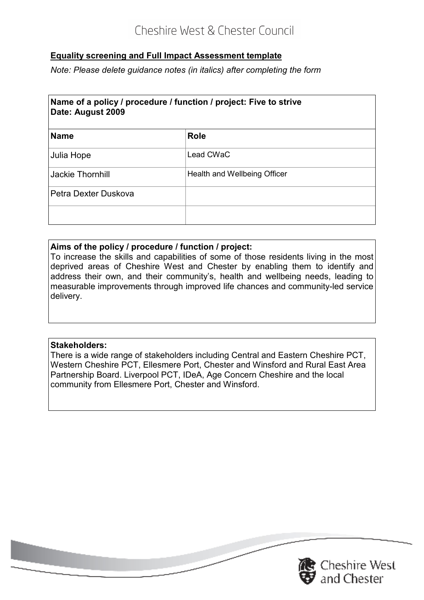# **Equality screening and Full Impact Assessment template**

 *Note: Please delete guidance notes (in italics) after completing the form* 

# **Name of a policy / procedure / function / project: Five to strive Date: August 2009**

| <b>Name</b>          | <b>Role</b>                  |
|----------------------|------------------------------|
| Julia Hope           | Lead CWaC                    |
| Jackie Thornhill     | Health and Wellbeing Officer |
| Petra Dexter Duskova |                              |
|                      |                              |

#### **Aims of the policy / procedure / function / project:**

 To increase the skills and capabilities of some of those residents living in the most deprived areas of Cheshire West and Chester by enabling them to identify and address their own, and their community's, health and wellbeing needs, leading to measurable improvements through improved life chances and community-led service delivery.

## **Stakeholders:**

 There is a wide range of stakeholders including Central and Eastern Cheshire PCT, Western Cheshire PCT, Ellesmere Port, Chester and Winsford and Rural East Area Partnership Board. Liverpool PCT, IDeA, Age Concern Cheshire and the local community from Ellesmere Port, Chester and Winsford.

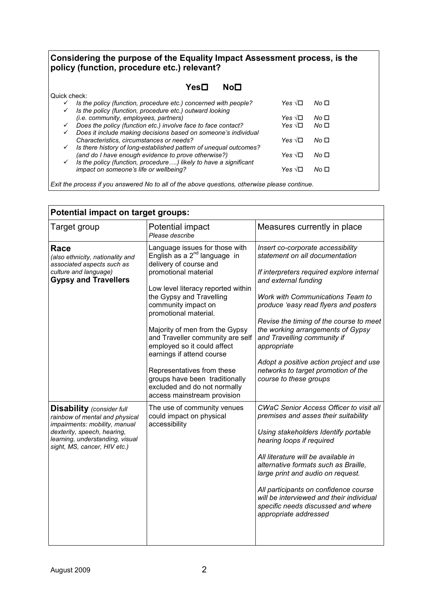#### the purpose of the Equality Impact Assessment process, is the (function, procedure etc.) relevant? **Considering the purpose of the Equality Impact Assessment process, is the policy (function, procedure etc.) relevant?**

| policy (function, procedure etc.) relevant?                                                                                           |                   |                 |  |  |  |
|---------------------------------------------------------------------------------------------------------------------------------------|-------------------|-----------------|--|--|--|
| No <sub>□</sub><br>Yes⊟                                                                                                               |                   |                 |  |  |  |
| Quick check:                                                                                                                          |                   |                 |  |  |  |
| Is the policy (function, procedure etc.) concerned with people?<br>✓<br>Is the policy (function, procedure etc.) outward looking<br>✓ | Yes √⊟            | No <sub>1</sub> |  |  |  |
| <i>(i.e. community, employees, partners)</i>                                                                                          | Yes √⊟            | No <sub>1</sub> |  |  |  |
| Does the policy (function etc.) involve face to face contact?<br>✓                                                                    | Yes $\sqrt{\Box}$ | No <sub>1</sub> |  |  |  |
| Does it include making decisions based on someone's individual<br>✓                                                                   |                   |                 |  |  |  |
| Characteristics, circumstances or needs?                                                                                              | Yes √⊟            | No <sub>1</sub> |  |  |  |
| Is there history of long-established pattern of unequal outcomes?<br>✓                                                                |                   |                 |  |  |  |
| (and do I have enough evidence to prove otherwise?)                                                                                   | Yes √⊡            | No □            |  |  |  |
| Is the policy (function, procedure) likely to have a significant<br>✓                                                                 |                   |                 |  |  |  |
| impact on someone's life or wellbeing?                                                                                                | Yes √⊟            | No □            |  |  |  |

 *Exit the process if you answered No to all of the above questions, otherwise please continue.* 

| <b>Potential impact on target groups:</b>                                                                                                                                                             |                                                                                                                                                                                                                                                                                                                                                                                                                                                                                                          |                                                                                                                                                                                                                                                                                                                                                                                                                                                                        |  |  |  |  |
|-------------------------------------------------------------------------------------------------------------------------------------------------------------------------------------------------------|----------------------------------------------------------------------------------------------------------------------------------------------------------------------------------------------------------------------------------------------------------------------------------------------------------------------------------------------------------------------------------------------------------------------------------------------------------------------------------------------------------|------------------------------------------------------------------------------------------------------------------------------------------------------------------------------------------------------------------------------------------------------------------------------------------------------------------------------------------------------------------------------------------------------------------------------------------------------------------------|--|--|--|--|
| Target group                                                                                                                                                                                          | Potential impact<br>Please describe                                                                                                                                                                                                                                                                                                                                                                                                                                                                      | Measures currently in place                                                                                                                                                                                                                                                                                                                                                                                                                                            |  |  |  |  |
| Race<br>(also ethnicity, nationality and<br>associated aspects such as<br>culture and language)<br><b>Gypsy and Travellers</b>                                                                        | Language issues for those with<br>English as a $2^{nd}$ language in<br>delivery of course and<br>promotional material<br>Low level literacy reported within<br>the Gypsy and Travelling<br>community impact on<br>promotional material.<br>Majority of men from the Gypsy<br>and Traveller community are self<br>employed so it could affect<br>earnings if attend course<br>Representatives from these<br>groups have been traditionally<br>excluded and do not normally<br>access mainstream provision | Insert co-corporate accessibility<br>statement on all documentation<br>If interpreters required explore internal<br>and external funding<br><b>Work with Communications Team to</b><br>produce 'easy read flyers and posters<br>Revise the timing of the course to meet<br>the working arrangements of Gypsy<br>and Travelling community if<br>appropriate<br>Adopt a positive action project and use<br>networks to target promotion of the<br>course to these groups |  |  |  |  |
| <b>Disability</b> (consider full<br>rainbow of mental and physical<br>impairments: mobility, manual<br>dexterity, speech, hearing,<br>learning, understanding, visual<br>sight, MS, cancer, HIV etc.) | The use of community venues<br>could impact on physical<br>accessibility                                                                                                                                                                                                                                                                                                                                                                                                                                 | CWaC Senior Access Officer to visit all<br>premises and asses their suitability<br>Using stakeholders Identify portable<br>hearing loops if required<br>All literature will be available in<br>alternative formats such as Braille,<br>large print and audio on request.<br>All participants on confidence course<br>will be interviewed and their individual<br>specific needs discussed and where<br>appropriate addressed                                           |  |  |  |  |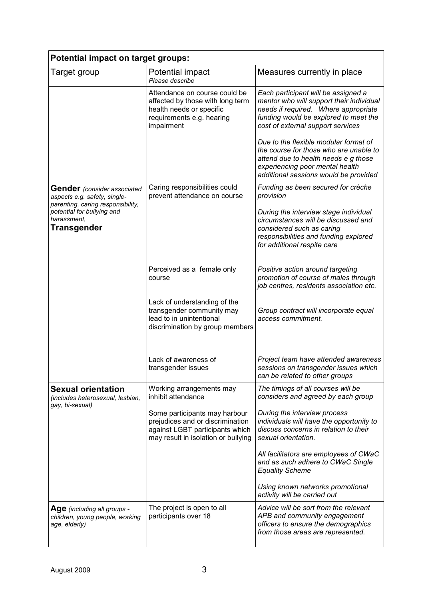| <b>Potential impact on target groups:</b>                                                               |                                                                                                                                             |                                                                                                                                                                                                       |  |  |  |  |  |
|---------------------------------------------------------------------------------------------------------|---------------------------------------------------------------------------------------------------------------------------------------------|-------------------------------------------------------------------------------------------------------------------------------------------------------------------------------------------------------|--|--|--|--|--|
| Target group                                                                                            | Potential impact<br>Please describe                                                                                                         | Measures currently in place                                                                                                                                                                           |  |  |  |  |  |
|                                                                                                         | Attendance on course could be<br>affected by those with long term<br>health needs or specific<br>requirements e.g. hearing<br>impairment    | Each participant will be assigned a<br>mentor who will support their individual<br>needs if required. Where appropriate<br>funding would be explored to meet the<br>cost of external support services |  |  |  |  |  |
|                                                                                                         |                                                                                                                                             | Due to the flexible modular format of<br>the course for those who are unable to<br>attend due to health needs e g those<br>experiencing poor mental health<br>additional sessions would be provided   |  |  |  |  |  |
| <b>Gender</b> (consider associated<br>aspects e.g. safety, single-<br>parenting, caring responsibility, | Caring responsibilities could<br>prevent attendance on course                                                                               | Funding as been secured for crèche<br>provision                                                                                                                                                       |  |  |  |  |  |
| potential for bullying and<br>harassment,<br>Transgender                                                |                                                                                                                                             | During the interview stage individual<br>circumstances will be discussed and<br>considered such as caring<br>responsibilities and funding explored<br>for additional respite care                     |  |  |  |  |  |
|                                                                                                         | Perceived as a female only<br>course                                                                                                        | Positive action around targeting<br>promotion of course of males through<br>job centres, residents association etc.                                                                                   |  |  |  |  |  |
|                                                                                                         | Lack of understanding of the<br>transgender community may<br>lead to in unintentional<br>discrimination by group members                    | Group contract will incorporate equal<br>access commitment.                                                                                                                                           |  |  |  |  |  |
|                                                                                                         | Lack of awareness of<br>transgender issues                                                                                                  | Project team have attended awareness<br>sessions on transgender issues which<br>can be related to other groups                                                                                        |  |  |  |  |  |
| <b>Sexual orientation</b><br>(includes heterosexual, lesbian,<br>gay, bi-sexual)                        | Working arrangements may<br>inhibit attendance                                                                                              | The timings of all courses will be<br>considers and agreed by each group                                                                                                                              |  |  |  |  |  |
|                                                                                                         | Some participants may harbour<br>prejudices and or discrimination<br>against LGBT participants which<br>may result in isolation or bullying | During the interview process<br>individuals will have the opportunity to<br>discuss concerns in relation to their<br>sexual orientation.                                                              |  |  |  |  |  |
|                                                                                                         |                                                                                                                                             | All facilitators are employees of CWaC<br>and as such adhere to CWaC Single<br><b>Equality Scheme</b>                                                                                                 |  |  |  |  |  |
|                                                                                                         |                                                                                                                                             | Using known networks promotional<br>activity will be carried out                                                                                                                                      |  |  |  |  |  |
| Age (including all groups -<br>children, young people, working<br>age, elderly)                         | The project is open to all<br>participants over 18                                                                                          | Advice will be sort from the relevant<br>APB and community engagement<br>officers to ensure the demographics<br>from those areas are represented.                                                     |  |  |  |  |  |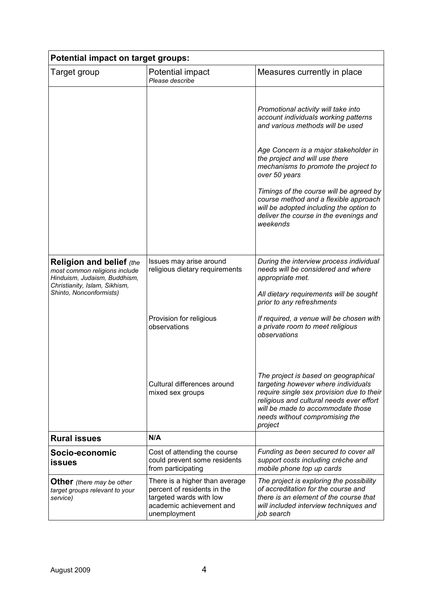| <b>Potential impact on target groups:</b>                                                                                         |                                                                                                                                      |                                                                                                                                                                                                                                                        |  |  |  |  |
|-----------------------------------------------------------------------------------------------------------------------------------|--------------------------------------------------------------------------------------------------------------------------------------|--------------------------------------------------------------------------------------------------------------------------------------------------------------------------------------------------------------------------------------------------------|--|--|--|--|
| Target group                                                                                                                      | Potential impact<br>Please describe                                                                                                  | Measures currently in place                                                                                                                                                                                                                            |  |  |  |  |
|                                                                                                                                   |                                                                                                                                      | Promotional activity will take into<br>account individuals working patterns<br>and various methods will be used<br>Age Concern is a major stakeholder in                                                                                               |  |  |  |  |
|                                                                                                                                   |                                                                                                                                      | the project and will use there<br>mechanisms to promote the project to<br>over 50 years                                                                                                                                                                |  |  |  |  |
|                                                                                                                                   |                                                                                                                                      | Timings of the course will be agreed by<br>course method and a flexible approach<br>will be adopted including the option to<br>deliver the course in the evenings and<br>weekends                                                                      |  |  |  |  |
| <b>Religion and belief (the</b><br>most common religions include<br>Hinduism, Judaism, Buddhism,<br>Christianity, Islam, Sikhism, | Issues may arise around<br>religious dietary requirements                                                                            | During the interview process individual<br>needs will be considered and where<br>appropriate met.                                                                                                                                                      |  |  |  |  |
| Shinto, Nonconformists)                                                                                                           |                                                                                                                                      | All dietary requirements will be sought<br>prior to any refreshments                                                                                                                                                                                   |  |  |  |  |
|                                                                                                                                   | Provision for religious<br>observations                                                                                              | If required, a venue will be chosen with<br>a private room to meet religious<br>observations                                                                                                                                                           |  |  |  |  |
|                                                                                                                                   | Cultural differences around<br>mixed sex groups                                                                                      | The project is based on geographical<br>targeting however where individuals<br>require single sex provision due to their<br>religious and cultural needs ever effort<br>will be made to accommodate those<br>needs without compromising the<br>project |  |  |  |  |
| <b>Rural issues</b>                                                                                                               | N/A                                                                                                                                  |                                                                                                                                                                                                                                                        |  |  |  |  |
| Socio-economic<br>issues                                                                                                          | Cost of attending the course<br>could prevent some residents<br>from participating                                                   | Funding as been secured to cover all<br>support costs including crèche and<br>mobile phone top up cards                                                                                                                                                |  |  |  |  |
| <b>Other</b> (there may be other<br>target groups relevant to your<br>service)                                                    | There is a higher than average<br>percent of residents in the<br>targeted wards with low<br>academic achievement and<br>unemployment | The project is exploring the possibility<br>of accreditation for the course and<br>there is an element of the course that<br>will included interview techniques and<br>job search                                                                      |  |  |  |  |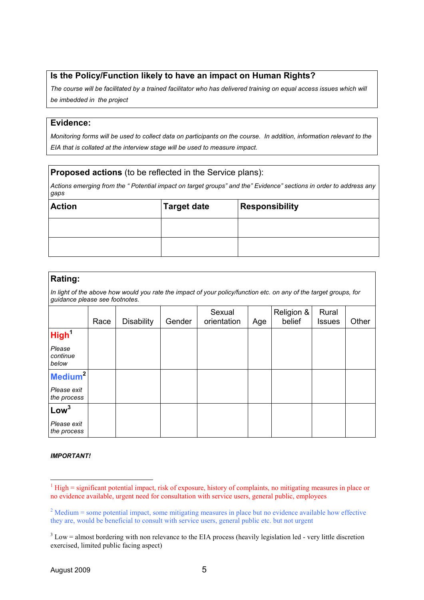#### **Is the Policy/Function likely to have an impact on Human Rights?**

 *The course will be facilitated by a trained facilitator who has delivered training on equal access issues which will be imbedded in the project* 

#### **Evidence:**

 *Monitoring forms will be used to collect data on participants on the course. In addition, information relevant to the EIA that is collated at the interview stage will be used to measure impact.* 

#### **Proposed actions** (to be reflected in the Service plans):

 *Actions emerging from the " Potential impact on target groups" and the" Evidence" sections in order to address any gaps* 

| <b>Action</b> | <b>Target date</b> | <b>Responsibility</b> |
|---------------|--------------------|-----------------------|
|               |                    |                       |
|               |                    |                       |

#### **Rating:**

 *In light of the above how would you rate the impact of your policy/function etc. on any of the target groups, for guidance please see footnotes.* 

|                             | Race | <b>Disability</b> | Gender | Sexual<br>orientation | Age | Religion &<br>belief | Rural<br><b>Issues</b> | Other |
|-----------------------------|------|-------------------|--------|-----------------------|-----|----------------------|------------------------|-------|
| High <sup>1</sup>           |      |                   |        |                       |     |                      |                        |       |
| Please<br>continue<br>below |      |                   |        |                       |     |                      |                        |       |
| Medium <sup>2</sup>         |      |                   |        |                       |     |                      |                        |       |
| Please exit<br>the process  |      |                   |        |                       |     |                      |                        |       |
| Low <sup>3</sup>            |      |                   |        |                       |     |                      |                        |       |
| Please exit<br>the process  |      |                   |        |                       |     |                      |                        |       |

#### *IMPORTANT!*

 $1$  High = significant potential impact, risk of exposure, history of complaints, no mitigating measures in place or no evidence available, urgent need for consultation with service users, general public, employees

 $2^{2}$  Medium = some potential impact, some mitigating measures in place but no evidence available how effective they are, would be beneficial to consult with service users, general public etc. but not urgent

 $3$  Low = almost bordering with non relevance to the EIA process (heavily legislation led - very little discretion exercised, limited public facing aspect)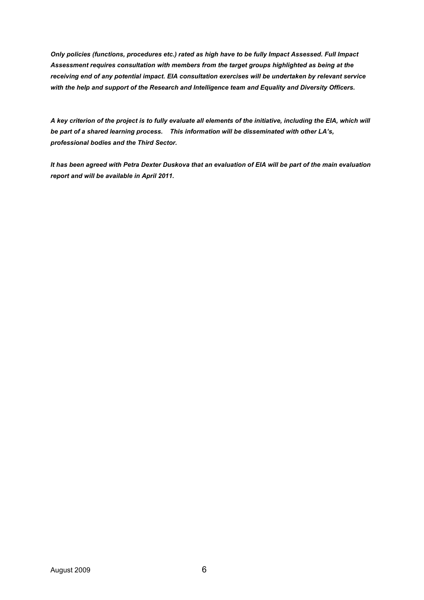Only policies (functions, procedures etc.) rated as high have to be fully Impact Assessed. Full Impact Assessment requires consultation with members from the target groups highlighted as being at the receiving end of any potential impact. EIA consultation exercises will be undertaken by relevant service with the help and support of the Research and Intelligence team and Equality and Diversity Officers.

A key criterion of the project is to fully evaluate all elements of the initiative, including the EIA, which will be part of a shared learning process. This information will be disseminated with other LA's,  *professional bodies and the Third Sector.*

It has been agreed with Petra Dexter Duskova that an evaluation of EIA will be part of the main evaluation  *report and will be available in April 2011.*